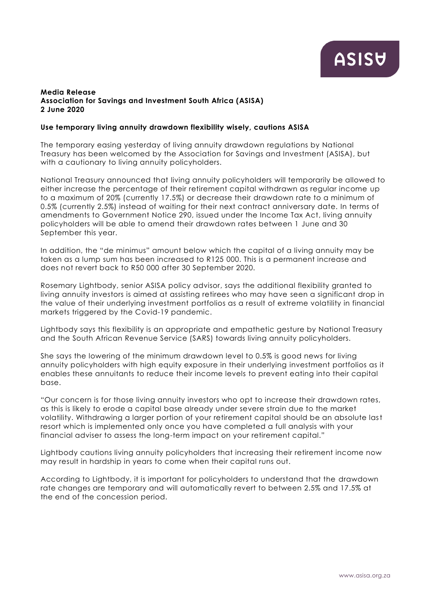## **Media Release Association for Savings and Investment South Africa (ASISA) 2 June 2020**

## **Use temporary living annuity drawdown flexibility wisely, cautions ASISA**

The temporary easing yesterday of living annuity drawdown regulations by National Treasury has been welcomed by the Association for Savings and Investment (ASISA), but with a cautionary to living annuity policyholders.

National Treasury announced that living annuity policyholders will temporarily be allowed to either increase the percentage of their retirement capital withdrawn as regular income up to a maximum of 20% (currently 17.5%) or decrease their drawdown rate to a minimum of 0.5% (currently 2.5%) instead of waiting for their next contract anniversary date. In terms of amendments to Government Notice 290, issued under the Income Tax Act, living annuity policyholders will be able to amend their drawdown rates between 1 June and 30 September this year.

In addition, the "de minimus" amount below which the capital of a living annuity may be taken as a lump sum has been increased to R125 000. This is a permanent increase and does not revert back to R50 000 after 30 September 2020.

Rosemary Lightbody, senior ASISA policy advisor, says the additional flexibility granted to living annuity investors is aimed at assisting retirees who may have seen a significant drop in the value of their underlying investment portfolios as a result of extreme volatility in financial markets triggered by the Covid-19 pandemic.

Lightbody says this flexibility is an appropriate and empathetic gesture by National Treasury and the South African Revenue Service (SARS) towards living annuity policyholders.

She says the lowering of the minimum drawdown level to 0.5% is good news for living annuity policyholders with high equity exposure in their underlying investment portfolios as it enables these annuitants to reduce their income levels to prevent eating into their capital base.

"Our concern is for those living annuity investors who opt to increase their drawdown rates, as this is likely to erode a capital base already under severe strain due to the market volatility. Withdrawing a larger portion of your retirement capital should be an absolute last resort which is implemented only once you have completed a full analysis with your financial adviser to assess the long-term impact on your retirement capital."

Lightbody cautions living annuity policyholders that increasing their retirement income now may result in hardship in years to come when their capital runs out.

According to Lightbody, it is important for policyholders to understand that the drawdown rate changes are temporary and will automatically revert to between 2.5% and 17.5% at the end of the concession period.